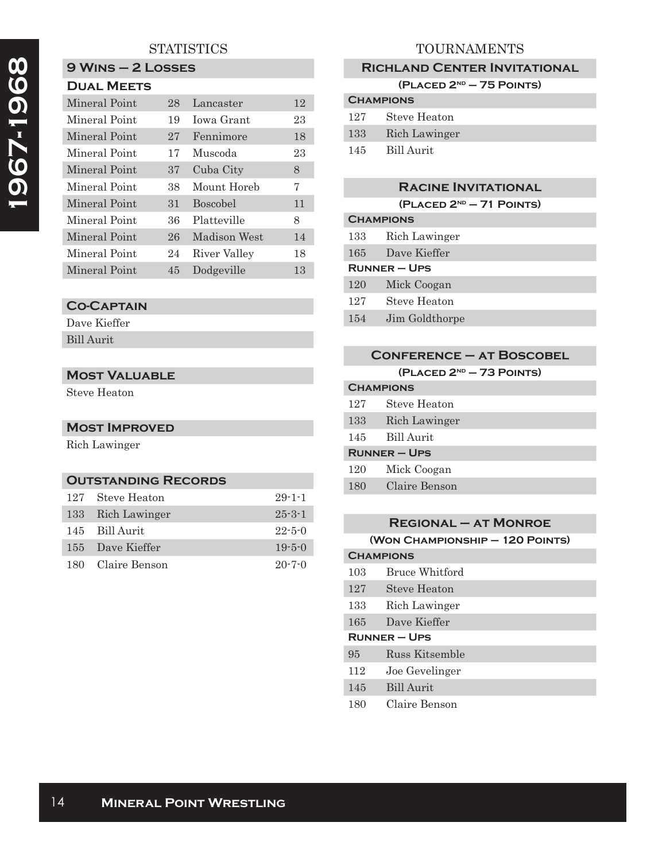# **1967-1968**  1967-1968

# **STATISTICS**

# **9 Wins – 2 Losses**

| <b>DUAL MEETS</b> |
|-------------------|
|                   |

| Mineral Point | 28 | Lancaster       | 12 |
|---------------|----|-----------------|----|
| Mineral Point | 19 | Jowa Grant      | 23 |
| Mineral Point | 27 | Fennimore       | 18 |
| Mineral Point | 17 | Muscoda         | 23 |
| Mineral Point | 37 | Cuba City       | 8  |
| Mineral Point | 38 | Mount Horeb     | 7  |
| Mineral Point | 31 | <b>Boscobel</b> | 11 |
| Mineral Point | 36 | Platteville     | 8  |
| Mineral Point | 26 | Madison West    | 14 |
| Mineral Point | 24 | River Valley    | 18 |
| Mineral Point | 45 | Dodgeville      | 13 |

## **Co-Captain**

Dave Kieffer Bill Aurit

#### **Most Valuable**

Steve Heaton

# **Most Improved**

Rich Lawinger

#### **Outstanding Records**

| 127 Steve Heaton  | $29 - 1 - 1$ |
|-------------------|--------------|
| 133 Rich Lawinger | $25 - 3 - 1$ |
| 145 Bill Aurit    | $22 - 5 - 0$ |
| 155 Dave Kieffer  | $19 - 5 - 0$ |
| 180 Claire Benson | $20 - 7 - 0$ |

### TOURNAMENTS

#### **Richland Center Invitational**

**(Placed 2nd – 75 Points)**

| <b>CHAMPIONS</b> |               |  |
|------------------|---------------|--|
| 127              | Steve Heaton  |  |
| 133              | Rich Lawinger |  |
| 145              | - Bill Aurit  |  |

#### **Racine Invitational**

**(Placed 2nd – 71 Points)**

| <b>CHAMPIONS</b>    |                |  |
|---------------------|----------------|--|
| 133                 | Rich Lawinger  |  |
| 165.                | Dave Kieffer   |  |
| <b>RUNNER – UPS</b> |                |  |
| 120                 | Mick Coogan    |  |
| 127                 | Steve Heaton   |  |
| 154                 | Jim Goldthorpe |  |

| <b>CONFERENCE - AT BOSCOBEL</b> |                                      |  |
|---------------------------------|--------------------------------------|--|
|                                 | (PLACED 2 <sup>ND</sup> - 73 POINTS) |  |
| <b>CHAMPIONS</b>                |                                      |  |
| 127                             | Steve Heaton                         |  |
| 133                             | Rich Lawinger                        |  |
| 145                             | Bill Aurit                           |  |
| <b>RUNNER-UPS</b>               |                                      |  |
| 120                             | Mick Coogan                          |  |
| 180                             | Claire Benson                        |  |
|                                 |                                      |  |

# **Regional – at Monroe**

| (WON CHAMPIONSHIP - 120 POINTS) |  |
|---------------------------------|--|
|---------------------------------|--|

# **Champions** 103 Bruce Whitford 127 Steve Heaton 133 Rich Lawinger 165 Dave Kieffer **Runner – Ups**

95 Russ Kitsemble

112 Joe Gevelinger

145 Bill Aurit

180 Claire Benson